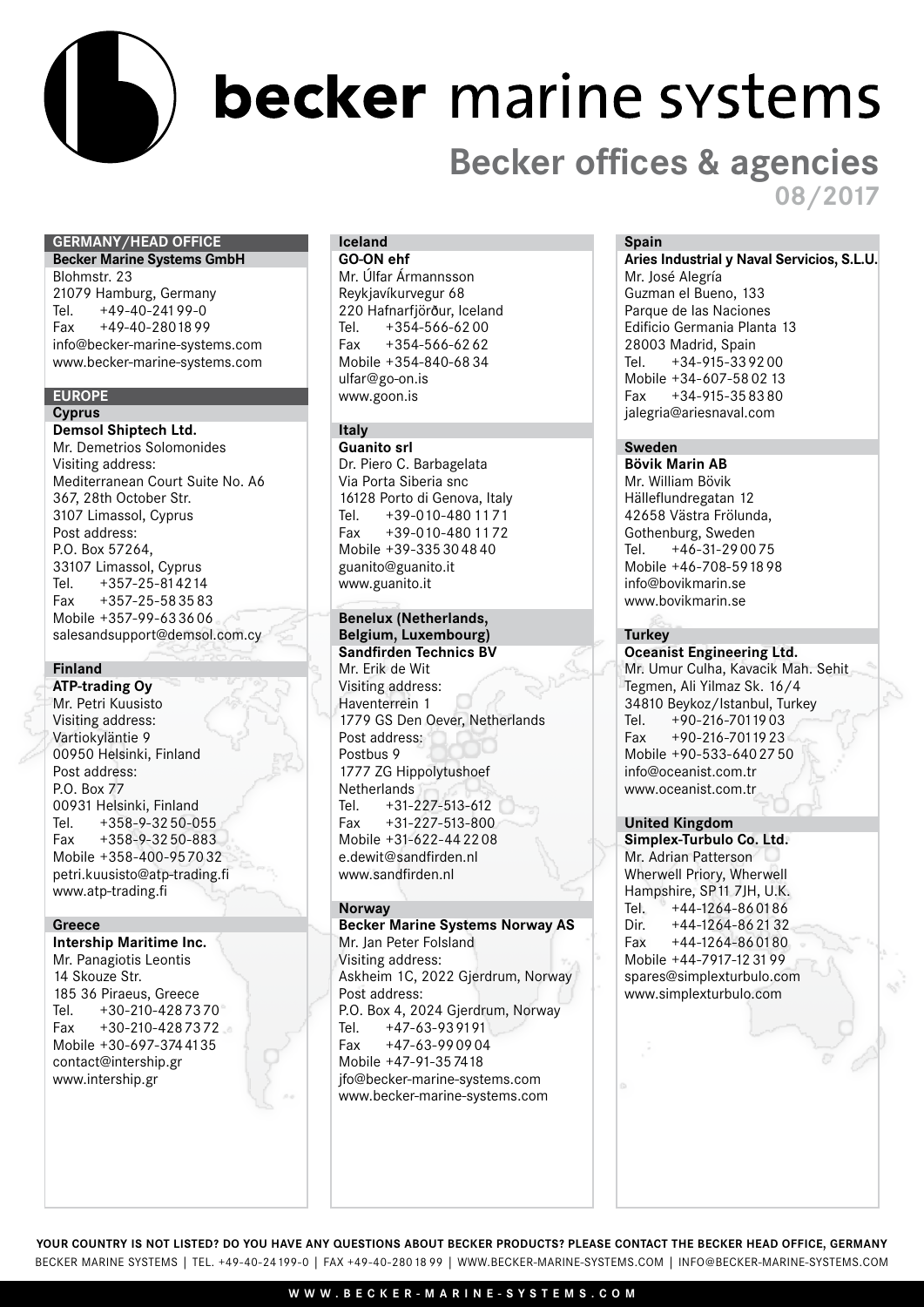

## becker marine systems

### **Becker offices & agencies 08/2017**

#### **Germany/Head Office**

**Becker Marine Systems GmbH**  Blohmstr. 23 21079 Hamburg, Germany Tel. +49-40-24199-0 Fax +49-40-2801899 info@becker-marine-systems.com www.becker-marine-systems.com

#### **Europe Cyprus**

**Demsol Shiptech Ltd.** Mr. Demetrios Solomonides Visiting address: Mediterranean Court Suite No. A6 367, 28th October Str. 3107 Limassol, Cyprus Post address: P.O. Box 57264, 33107 Limassol, Cyprus Tel. +357-25-814214<br>Fax +357-25-583583  $+357-25-583583$ Mobile +357-99-633606 salesandsupport@demsol.com.cy

#### **Finland**

**ATP-trading Oy** Mr. Petri Kuusisto Visiting address: Vartiokyläntie 9 00950 Helsinki, Finland Post address: P.O. Box 77 00931 Helsinki, Finland Tel. +358-9-3250-055 Fax +358-9-3250-883 Mobile +358-400-957032 petri.kuusisto@atp-trading.fi www.atp-trading.fi

#### **Greece**

**Intership Maritime Inc.** Mr. Panagiotis Leontis 14 Skouze Str. 185 36 Piraeus, Greece<br>Tel. +30-210-428 73 Tel. +30-210-4287370 Fax +30-210-4287372 Mobile +30-697-3744135 contact@intership.gr www.intership.gr

#### **Iceland GO-ON ehf**

Mr. Úlfar Ármannsson Reykjavíkurvegur 68 220 Hafnarfjörður, Iceland Tel. +354-566-62 00 Fax  $+354-566-6262$ Mobile +354-840-68 34 ulfar@go-on.is www.goon.is

#### **Italy**

**Guanito srl**  Dr. Piero C. Barbagelata Via Porta Siberia snc 16128 Porto di Genova, Italy Tel. +39-010-480 11 71 Fax +39-010-480 11 72 Mobile +39-335304840 guanito@guanito.it www.guanito.it

#### **Benelux (Netherlands,**

**Belgium, Luxembourg) Sandfirden Technics BV** Mr. Erik de Wit Visiting address: Haventerrein 1 1779 GS Den Oever, Netherlands Post address: Postbus 9 1777 ZG Hippolytushoef Netherlands<br>Tel. +31-2  $+31-227-513-612$ Fax +31-227-513-800 Mobile +31-622-442208 e.dewit@sandfirden.nl www.sandfirden.nl

#### **Norway**

**Becker Marine Systems Norway AS** Mr. Jan Peter Folsland Visiting address: Askheim 1C, 2022 Gjerdrum, Norway Post address: P.O. Box 4, 2024 Gjerdrum, Norway Tel. +47-63-939191 Fax +47-63-990904 Mobile +47-91-357418 jfo@becker-marine-systems.com www.becker-marine-systems.com

#### **Spain**

**Aries Industrial y Naval Servicios, S.L.U.**

Mr. José Alegría Guzman el Bueno, 133 Parque de las Naciones Edificio Germania Planta 13 28003 Madrid, Spain Tel. +34-915-339200 Mobile +34-607-58 02 13 Fax +34-915-358380 jalegria@ariesnaval.com

#### **Sweden**

**Bövik Marin AB** Mr. William Bövik Hälleflundregatan 12 42658 Västra Frölunda, Gothenburg, Sweden<br>Tel. +46-31-2900  $+46-31-290075$ Mobile +46-708-591898 info@bovikmarin.se www.bovikmarin.se

#### **Turkey**

**Oceanist Engineering Ltd.** Mr. Umur Culha, Kavacik Mah. Sehit Tegmen, Ali Yilmaz Sk. 16/4 34810 Beykoz/Istanbul, Turkey<br>Tel. +90-216-7011903 Tel. +90-216-7011903<br>Fax +90-216-7011923  $+90-216-7011923$ Mobile +90-533-6402750 info@oceanist.com.tr www.oceanist.com.tr

#### **United Kingdom**

**Simplex-Turbulo Co. Ltd.** Mr. Adrian Patterson Wherwell Priory, Wherwell Hampshire, SP11 7JH, U.K.<br>Tel. +44-1264-860186 Tel. +44-1264-860186<br>Dir. +44-1264-862132 Dir.  $+44-1264-862132$ <br>Fax  $+44-1264-860180$  $+44-1264-860180$ Mobile +44-7917-12 31 99 spares@simplexturbulo.com www.simplexturbulo.com

Becker Marine Systems | Tel. +49-40-24199-0 | Fax +49-40-28018 99 | www.becker-marine-systems.com | info@becker-marine-systems.com **Your country is not listed? Do You have any Questions about Becker Products? Please contact the Becker head office, Germany**